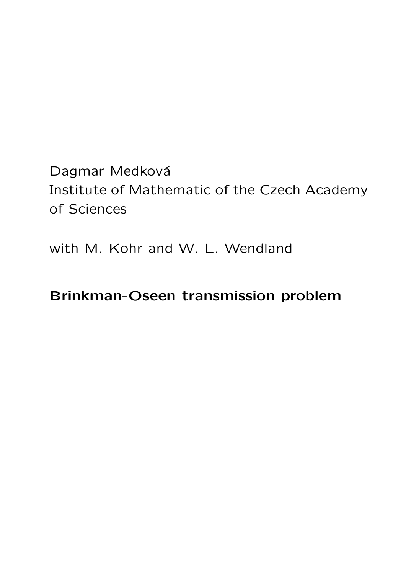Dagmar Medková Institute of Mathematic of the Czech Academy of Sciences

with M. Kohr and W. L. Wendland

## Brinkman-Oseen transmission problem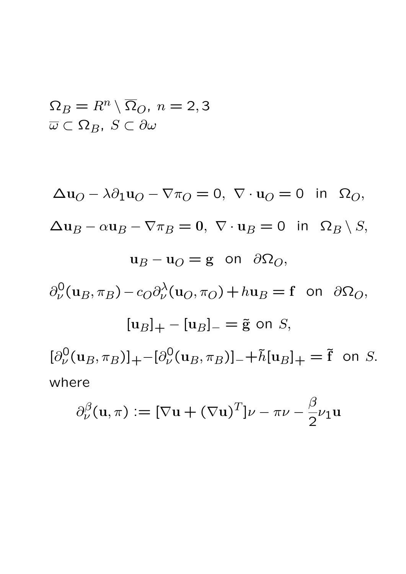$$
\Omega_B = R^n \setminus \overline{\Omega}_O, \ n = 2, 3
$$
  

$$
\overline{\omega} \subset \Omega_B, \ S \subset \partial \omega
$$

$$
\Delta u_O - \lambda \partial_1 u_O - \nabla \pi_O = 0, \ \nabla \cdot u_O = 0 \ \text{ in } \ \Omega_O,
$$
  
\n
$$
\Delta u_B - \alpha u_B - \nabla \pi_B = 0, \ \nabla \cdot u_B = 0 \ \text{ in } \ \Omega_B \setminus S,
$$
  
\n
$$
u_B - u_O = g \ \text{ on } \ \partial \Omega_O,
$$
  
\n
$$
\partial_\nu^0 (u_B, \pi_B) - c_O \partial_\nu^{\lambda} (u_O, \pi_O) + h u_B = f \ \text{ on } \ \partial \Omega_O,
$$
  
\n
$$
[u_B]_+ - [u_B]_- = \tilde{g} \ \text{ on } S,
$$
  
\n
$$
[\partial_\nu^0 (u_B, \pi_B)]_+ - [\partial_\nu^0 (u_B, \pi_B)]_- + \tilde{h}[u_B]_+ = \tilde{f} \ \text{ on } S.
$$
  
\nwhere

$$
\partial_{\nu}^{\beta}(\mathbf{u},\pi) := [\nabla \mathbf{u} + (\nabla \mathbf{u})^T] \nu - \pi \nu - \frac{\beta}{2} \nu_1 \mathbf{u}
$$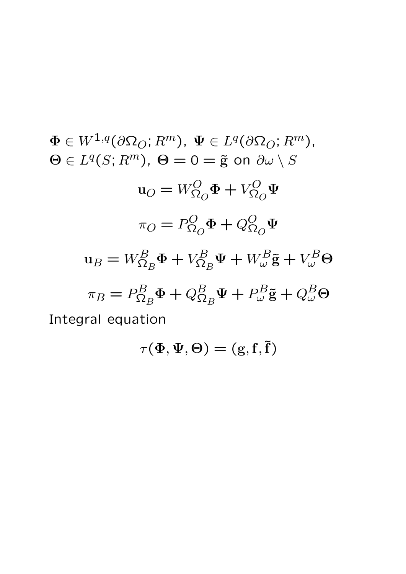$\Phi \in W^{1,q}(\partial \Omega_O; R^m), \ \Psi \in L^q(\partial \Omega_O; R^m),$  $\Theta \in L^q(S; R^m)$ ,  $\Theta = 0 = \tilde{g}$  on  $\partial \omega \setminus S$  $\mathbf{u}_O = W^O_{\Omega_O}$  $\Phi + V_{\Omega}^O$  $\tilde{\Omega}_{O}$ Ψ  $\pi_O = P^O_{\Omega_0}$  $\tilde{\Omega}_O$  $\Phi + Q_{\Omega}^O$  $\tilde{\Omega}_O$ Ψ  $\mathrm{u}_B = W^B_{\Omega_B}$  $\Phi + V_{\Omega}^B$  $\Omega_B$  $\Psi + W_{\omega}^B \tilde{\mathbf{g}} + V_{\omega}^B \Theta$  $\pi_B = P^B_{\Omega}$  ${ }^{'}\!\Omega_B$  $\Phi + Q_{\Omega}^B$  $\Omega_B$  $\Psi + P_{\omega}^B \tilde{\mathbf{g}} + Q_{\omega}^B \Theta$ Integral equation

$$
\tau(\Phi,\Psi,\Theta)=(\mathrm{g},\mathrm{f},\tilde{\mathrm{f}})
$$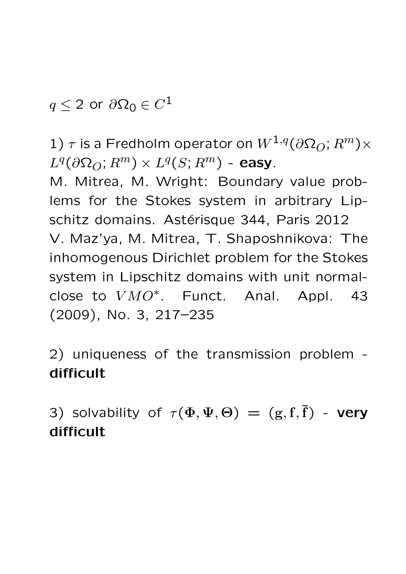$q \leq 2$  or  $\partial \Omega_0 \in C^1$ 

1)  $\tau$  is a Fredholm operator on  $W^{1,q}(\partial \Omega_O; R^m) \times$  $L^q(\partial\Omega_O; R^m)\times L^q(S; R^m)$  - easy.

M. Mitrea, M. Wright: Boundary value problems for the Stokes system in arbitrary Lipschitz domains. Astérisque 344, Paris 2012 V. Maz'ya, M. Mitrea, T. Shaposhnikova: The inhomogenous Dirichlet problem for the Stokes system in Lipschitz domains with unit normalclose to  $VMO^*$ . Funct. Anal. Appl. 43 (2009), No. 3, 217–235

2) uniqueness of the transmission problem difficult

3) solvability of  $\tau(\Phi, \Psi, \Theta) = (g, f, \tilde{f})$  - very difficult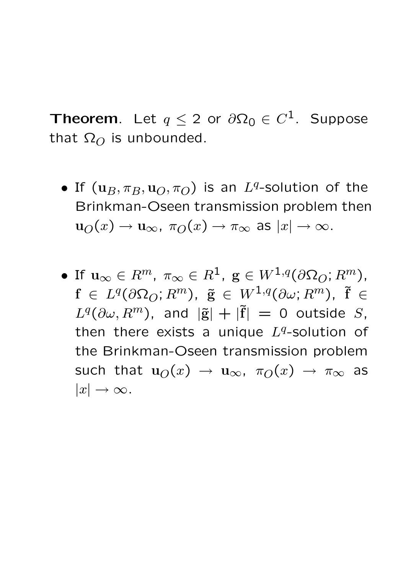**Theorem.** Let  $q \leq 2$  or  $\partial \Omega_0 \in C^1$ . Suppose that  $\Omega_O$  is unbounded.

- If  $(\mathbf{u}_B, \pi_B, \mathbf{u}_O, \pi_O)$  is an  $L^q$ -solution of the Brinkman-Oseen transmission problem then  $u_O(x) \to u_\infty$ ,  $\pi_O(x) \to \pi_\infty$  as  $|x| \to \infty$ .
- $\bullet$  If  $\mathbf{u}_{\infty} \in R^m$ ,  $\pi_{\infty} \in R^1$ ,  $\mathbf{g} \in W^{1,q}(\partial \Omega_O; R^m)$ ,  $f \in L^q(\partial\Omega_O; R^m)$ ,  $\tilde{g} \in W^{1,q}(\partial\omega; R^m)$ ,  $\tilde{f} \in$  $L^q(\partial\omega, R^m)$ , and  $|\tilde{\mathbf{g}}| + |\tilde{\mathbf{f}}| = 0$  outside S, then there exists a unique  $L<sup>q</sup>$ -solution of the Brinkman-Oseen transmission problem such that  $u_O(x) \rightarrow u_\infty$ ,  $\pi_O(x) \rightarrow \pi_\infty$  as  $|x| \rightarrow \infty$ .